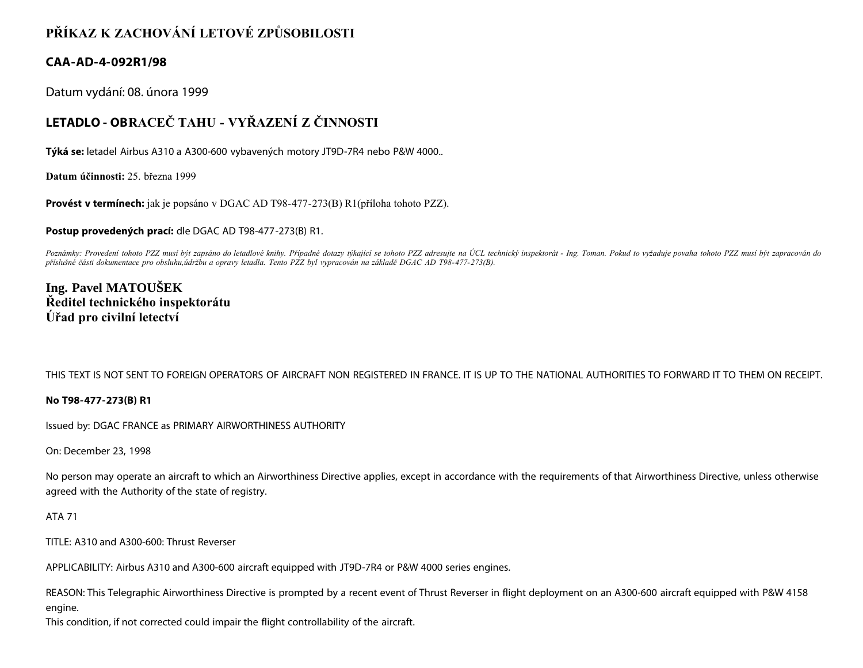## **PŘÍKAZ K ZACHOVÁNÍ LETOVÉ ZPŮSOBILOSTI**

### **CAA-AD-4-092R1/98**

Datum vydání: 08. února 1999

# **LETADLO - OBRACEČ TAHU - VYŘAZENÍ Z ČINNOSTI**

**Týká se:** letadel Airbus A310 a A300-600 vybavených motory JT9D-7R4 nebo P&W 4000..

**Datum účinnosti:** 25. března 1999

**Provést v termínech:** jak je popsáno v DGAC AD T98-477-273(B) R1(příloha tohoto PZZ).

**Postup provedených prací:** dle DGAC AD T98-477-273(B) R1.

Poznámky: Provedení tohoto PZZ musí být zapsáno do letadlové knihy. Případné dotazy týkající se tohoto PZZ adresujte na ÚCL technický inspektorát - Ing. Toman. Pokud to vyžaduje povaha tohoto PZZ musí být zapracován do *příslušné části dokumentace pro obsluhu,údržbu a opravy letadla. Tento PZZ byl vypracován na základě DGAC AD T98-477-273(B).*

## **Ing. Pavel MATOUŠEK Ředitel technického inspektorátu Úřad pro civilní letectví**

THIS TEXT IS NOT SENT TO FOREIGN OPERATORS OF AIRCRAFT NON REGISTERED IN FRANCE. IT IS UP TO THE NATIONAL AUTHORITIES TO FORWARD IT TO THEM ON RECEIPT.

#### **No T98-477-273(B) R1**

Issued by: DGAC FRANCE as PRIMARY AIRWORTHINESS AUTHORITY

On: December 23, 1998

No person may operate an aircraft to which an Airworthiness Directive applies, except in accordance with the requirements of that Airworthiness Directive, unless otherwise agreed with the Authority of the state of registry.

#### ATA 71

TITLE: A310 and A300-600: Thrust Reverser

APPLICABILITY: Airbus A310 and A300-600 aircraft equipped with JT9D-7R4 or P&W 4000 series engines.

REASON: This Telegraphic Airworthiness Directive is prompted by a recent event of Thrust Reverser in flight deployment on an A300-600 aircraft equipped with P&W 4158 engine.

This condition, if not corrected could impair the flight controllability of the aircraft.